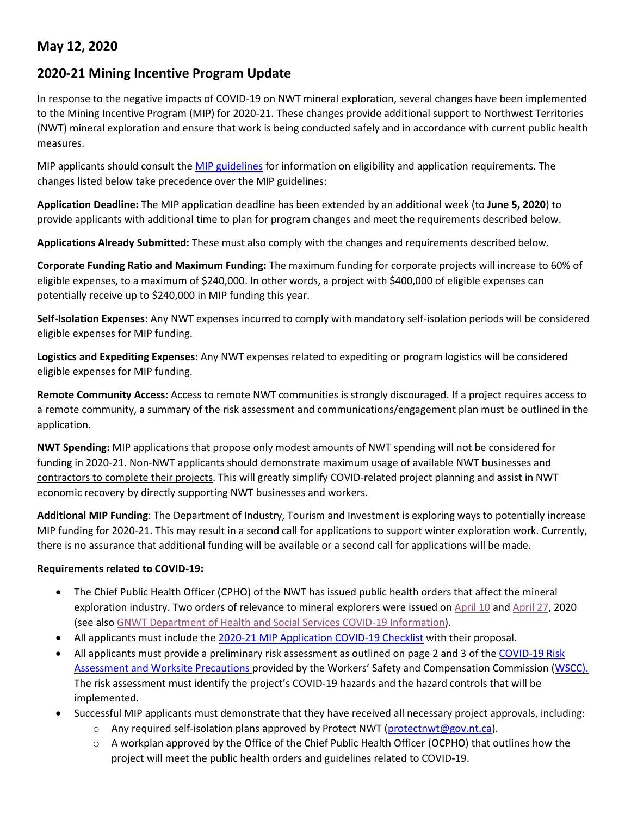## **May 12, 2020**

## **2020-21 Mining Incentive Program Update**

In response to the negative impacts of COVID-19 on NWT mineral exploration, several changes have been implemented to the Mining Incentive Program (MIP) for 2020-21. These changes provide additional support to Northwest Territories (NWT) mineral exploration and ensure that work is being conducted safely and in accordance with current public health measures.

MIP applicants should consult the [MIP guidelines](https://www.nwtgeoscience.ca/services/mining-incentive-program/mip-guidelines) for information on eligibility and application requirements. The changes listed below take precedence over the MIP guidelines:

**Application Deadline:** The MIP application deadline has been extended by an additional week (to **June 5, 2020**) to provide applicants with additional time to plan for program changes and meet the requirements described below.

**Applications Already Submitted:** These must also comply with the changes and requirements described below.

**Corporate Funding Ratio and Maximum Funding:** The maximum funding for corporate projects will increase to 60% of eligible expenses, to a maximum of \$240,000. In other words, a project with \$400,000 of eligible expenses can potentially receive up to \$240,000 in MIP funding this year.

**Self-Isolation Expenses:** Any NWT expenses incurred to comply with mandatory self-isolation periods will be considered eligible expenses for MIP funding.

**Logistics and Expediting Expenses:** Any NWT expenses related to expediting or program logistics will be considered eligible expenses for MIP funding.

**Remote Community Access:** Access to remote NWT communities is strongly discouraged. If a project requires access to a remote community, a summary of the risk assessment and communications/engagement plan must be outlined in the application.

**NWT Spending:** MIP applications that propose only modest amounts of NWT spending will not be considered for funding in 2020-21. Non-NWT applicants should demonstrate maximum usage of available NWT businesses and contractors to complete their projects. This will greatly simplify COVID-related project planning and assist in NWT economic recovery by directly supporting NWT businesses and workers.

**Additional MIP Funding**: The Department of Industry, Tourism and Investment is exploring ways to potentially increase MIP funding for 2020-21. This may result in a second call for applications to support winter exploration work. Currently, there is no assurance that additional funding will be available or a second call for applications will be made.

## **Requirements related to COVID-19:**

- The Chief Public Health Officer (CPHO) of the NWT has issued public health orders that affect the mineral exploration industry. Two orders of relevance to mineral explorers were issued on [April 10](https://www.hss.gov.nt.ca/sites/hss/files/resources/public-health-order-covid-19-directed-mineral-petroleum-industry.pdf) an[d April 27,](https://www.hss.gov.nt.ca/sites/hss/files/resources/public-health-order-covid-19-travel-restrictions-self-isolation-protocol-amended-april-27-2020.pdf) 2020 (see als[o GNWT Department of Health and Social Services](https://www.hss.gov.nt.ca/en/services/coronavirus-disease-covid-19) COVID-19 Information).
- All applicants must include the [2020-21 MIP Application COVID-19 Checklist](https://www.nwtgeoscience.ca/sites/ntgs/files/resources/2020-21_mip_application_covid-19_checklist_12may2020_fillable.pdf) with their proposal.
- All applicants must provide a preliminary risk assessment as outlined on page 2 and 3 of the [COVID-19 Risk](https://www.wscc.nt.ca/sites/default/files/documents/20200421_COVID_RiskAssessmentWorkSitePrecautions_NT_Fillable-ENG.pdf) [Assessment and Worksite Precautions p](https://www.wscc.nt.ca/sites/default/files/documents/20200421_COVID_RiskAssessmentWorkSitePrecautions_NT_Fillable-ENG.pdf)rovided by the Workers' Safety and Compensation Commission [\(WSCC\)](https://www.wscc.nt.ca/). The risk assessment must identify the project's COVID-19 hazards and the hazard controls that will be implemented.
- Successful MIP applicants must demonstrate that they have received all necessary project approvals, including:
	- $\circ$  Any required self-isolation plans approved by Protect NWT [\(protectnwt@gov.nt.ca\)](mailto:protectnwt@gov.nt.ca).
	- $\circ$  A workplan approved by the Office of the Chief Public Health Officer (OCPHO) that outlines how the project will meet the public health orders and guidelines related to COVID-19.